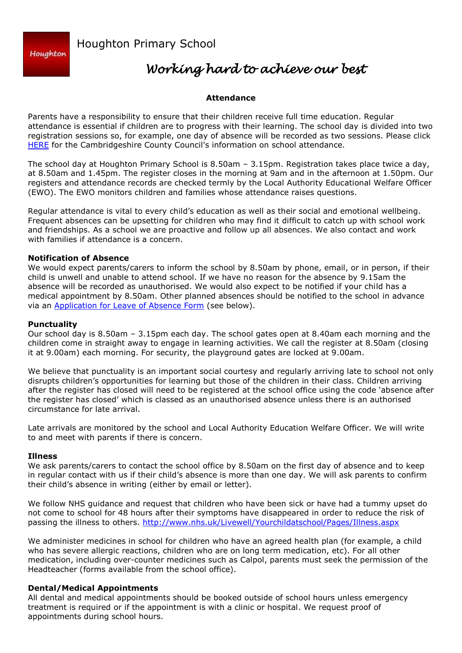

Houghton Primary School

# *Working hard to achieve our best*

## **Attendance**

Parents have a responsibility to ensure that their children receive full time education. Regular attendance is essential if children are to progress with their learning. The school day is divided into two registration sessions so, for example, one day of absence will be recorded as two sessions. Please click [HERE](https://www.cambridgeshire.gov.uk/residents/children-and-families/schools-&-learning/education-your-rights-and-responsibilities/school-attendance/) for the Cambridgeshire County Council's information on school attendance.

The school day at Houghton Primary School is 8.50am – 3.15pm. Registration takes place twice a day, at 8.50am and 1.45pm. The register closes in the morning at 9am and in the afternoon at 1.50pm. Our registers and attendance records are checked termly by the Local Authority Educational Welfare Officer (EWO). The EWO monitors children and families whose attendance raises questions.

Regular attendance is vital to every child's education as well as their social and emotional wellbeing. Frequent absences can be upsetting for children who may find it difficult to catch up with school work and friendships. As a school we are proactive and follow up all absences. We also contact and work with families if attendance is a concern.

#### **Notification of Absence**

We would expect parents/carers to inform the school by 8.50am by phone, email, or in person, if their child is unwell and unable to attend school. If we have no reason for the absence by 9.15am the absence will be recorded as unauthorised. We would also expect to be notified if your child has a medical appointment by 8.50am. Other planned absences should be notified to the school in advance via an **Application for Leave of Absence Form** (see below).

### **Punctuality**

Our school day is 8.50am – 3.15pm each day. The school gates open at 8.40am each morning and the children come in straight away to engage in learning activities. We call the register at 8.50am (closing it at 9.00am) each morning. For security, the playground gates are locked at 9.00am.

We believe that punctuality is an important social courtesy and regularly arriving late to school not only disrupts children's opportunities for learning but those of the children in their class. Children arriving after the register has closed will need to be registered at the school office using the code 'absence after the register has closed' which is classed as an unauthorised absence unless there is an authorised circumstance for late arrival.

Late arrivals are monitored by the school and Local Authority Education Welfare Officer. We will write to and meet with parents if there is concern.

#### **Illness**

We ask parents/carers to contact the school office by 8.50am on the first day of absence and to keep in regular contact with us if their child's absence is more than one day. We will ask parents to confirm their child's absence in writing (either by email or letter).

We follow NHS guidance and request that children who have been sick or have had a tummy upset do not come to school for 48 hours after their symptoms have disappeared in order to reduce the risk of passing the illness to others.<http://www.nhs.uk/Livewell/Yourchildatschool/Pages/Illness.aspx>

We administer medicines in school for children who have an agreed health plan (for example, a child who has severe allergic reactions, children who are on long term medication, etc). For all other medication, including over-counter medicines such as Calpol, parents must seek the permission of the Headteacher (forms available from the school office).

#### **Dental/Medical Appointments**

All dental and medical appointments should be booked outside of school hours unless emergency treatment is required or if the appointment is with a clinic or hospital. We request proof of appointments during school hours.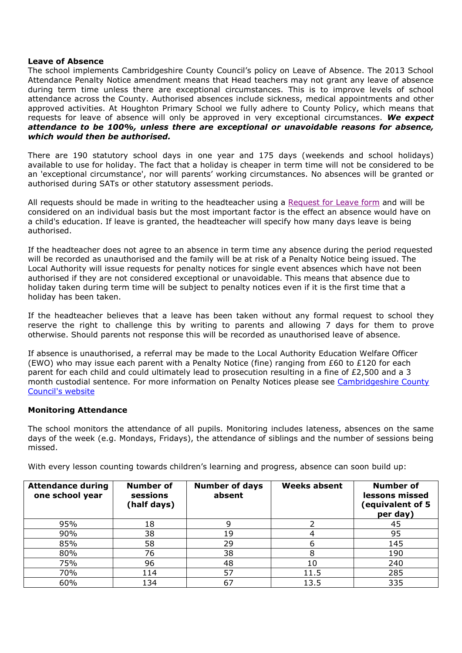#### **Leave of Absence**

The school implements Cambridgeshire County Council's policy on Leave of Absence. The 2013 School Attendance Penalty Notice amendment means that Head teachers may not grant any leave of absence during term time unless there are exceptional circumstances. This is to improve levels of school attendance across the County. Authorised absences include sickness, medical appointments and other approved activities. At Houghton Primary School we fully adhere to County Policy, which means that requests for leave of absence will only be approved in very exceptional circumstances. *We expect attendance to be 100%, unless there are exceptional or unavoidable reasons for absence, which would then be authorised.*

There are 190 statutory school days in one year and 175 days (weekends and school holidays) available to use for holiday. The fact that a holiday is cheaper in term time will not be considered to be an 'exceptional circumstance', nor will parents' working circumstances. No absences will be granted or authorised during SATs or other statutory assessment periods.

All requests should be made in writing to the headteacher using a [Request for Leave form](http://houghton.cambs.sch.uk/images/Term_Dates/HPS_Request_for_leave_of_absence_form.pdf) and will be considered on an individual basis but the most important factor is the effect an absence would have on a child's education. If leave is granted, the headteacher will specify how many days leave is being authorised.

If the headteacher does not agree to an absence in term time any absence during the period requested will be recorded as unauthorised and the family will be at risk of a Penalty Notice being issued. The Local Authority will issue requests for penalty notices for single event absences which have not been authorised if they are not considered exceptional or unavoidable. This means that absence due to holiday taken during term time will be subject to penalty notices even if it is the first time that a holiday has been taken.

If the headteacher believes that a leave has been taken without any formal request to school they reserve the right to challenge this by writing to parents and allowing 7 days for them to prove otherwise. Should parents not response this will be recorded as unauthorised leave of absence.

If absence is unauthorised, a referral may be made to the Local Authority Education Welfare Officer (EWO) who may issue each parent with a Penalty Notice (fine) ranging from £60 to £120 for each parent for each child and could ultimately lead to prosecution resulting in a fine of £2,500 and a 3 month custodial sentence. For more information on Penalty Notices please see [Cambridgeshire County](https://www.cambridgeshire.gov.uk/residents/children-and-families/schools-&-learning/education-your-rights-and-responsibilities/non-attendance-and-the-law/)  [Council's website](https://www.cambridgeshire.gov.uk/residents/children-and-families/schools-&-learning/education-your-rights-and-responsibilities/non-attendance-and-the-law/)

#### **Monitoring Attendance**

The school monitors the attendance of all pupils. Monitoring includes lateness, absences on the same days of the week (e.g. Mondays, Fridays), the attendance of siblings and the number of sessions being missed.

With every lesson counting towards children's learning and progress, absence can soon build up:

| <b>Attendance during</b><br>one school year | <b>Number of</b><br>sessions<br>(half days) | <b>Number of days</b><br>absent | <b>Weeks absent</b> | <b>Number of</b><br>lessons missed<br>(equivalent of 5<br>per day) |
|---------------------------------------------|---------------------------------------------|---------------------------------|---------------------|--------------------------------------------------------------------|
| 95%                                         | 18                                          |                                 |                     | 45                                                                 |
| 90%                                         | 38                                          | 19                              |                     | 95                                                                 |
| 85%                                         | 58                                          | 29                              | 6                   | 145                                                                |
| 80%                                         | 76                                          | 38                              | 8                   | 190                                                                |
| 75%                                         | 96                                          | 48                              | 10                  | 240                                                                |
| 70%                                         | 114                                         | 57                              | 11.5                | 285                                                                |
| 60%                                         | 134                                         | 67                              | 13.5                | 335                                                                |